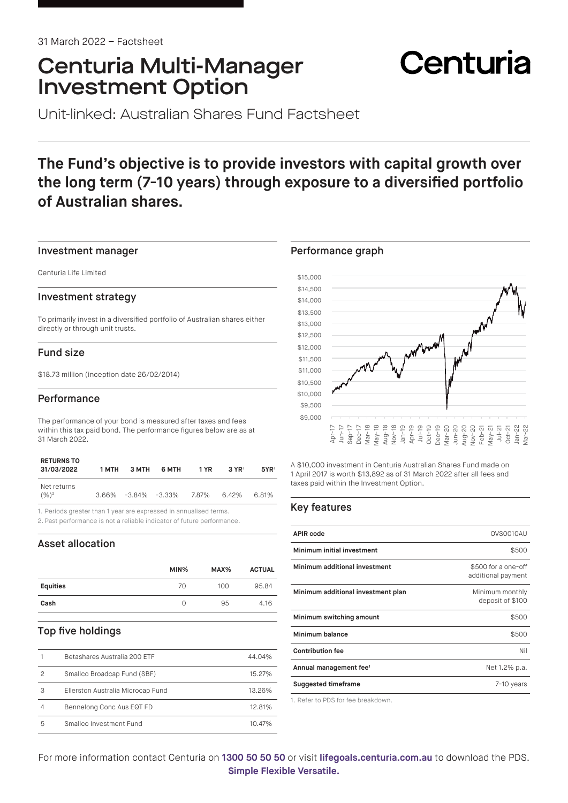# Centuria Multi-Manager Investment Option

# Centuria

Unit-linked: Australian Shares Fund Factsheet

# **The Fund's objective is to provide investors with capital growth over the long term (7-10 years) through exposure to a diversified portfolio of Australian shares.**

#### Investment manager

Centuria Life Limited

#### Investment strategy

To primarily invest in a diversified portfolio of Australian shares either directly or through unit trusts.

# Fund size

\$18.73 million (inception date 26/02/2014)

## **Performance**

The performance of your bond is measured after taxes and fees within this tax paid bond. The performance figures below are as at 31 March 2022.

| <b>RETURNS TO</b><br>31/03/2022  | 1 MTH | 3 MTH                  | 6 MTH | 1 YR  | $3 \text{ YR}$ | 5YR   |
|----------------------------------|-------|------------------------|-------|-------|----------------|-------|
| Net returns<br>$(\frac{9}{6})^2$ |       | $3.66\%$ -3.84% -3.33% |       | 7.87% | $6.42\%$       | 6.81% |

1. Periods greater than 1 year are expressed in annualised terms.

2. Past performance is not a reliable indicator of future performance.

# Asset allocation

|                 | MIN% | MAX% | <b>ACTUAL</b> |
|-----------------|------|------|---------------|
| <b>Equities</b> | 70   | 100  | 95.84         |
| Cash            | Ω    | 95   | 4.16          |
|                 |      |      |               |

# Top five holdings

|   | Betashares Australia 200 ETF      | 44.04% |
|---|-----------------------------------|--------|
|   | Smallco Broadcap Fund (SBF)       | 15.27% |
| 3 | Ellerston Australia Microcap Fund | 13.26% |
| 4 | Bennelong Conc Aus EQT FD         | 12.81% |
| 5 | Smallco Investment Fund           | 10.47% |

## Performance graph



A \$10,000 investment in Centuria Australian Shares Fund made on 1 April 2017 is worth \$13,892 as of 31 March 2022 after all fees and taxes paid within the Investment Option.

# Key features

| <b>APIR code</b>                   | OVS0010AU                                 |
|------------------------------------|-------------------------------------------|
| Minimum initial investment         | \$500                                     |
| Minimum additional investment      | \$500 for a one-off<br>additional payment |
| Minimum additional investment plan | Minimum monthly<br>deposit of \$100       |
| Minimum switching amount           | \$500                                     |
| Minimum balance                    | \$500                                     |
| <b>Contribution fee</b>            | Nil                                       |
| Annual management fee <sup>1</sup> | Net 1.2% p.a.                             |
| <b>Suggested timeframe</b>         | 7-10 years                                |

1. Refer to PDS for fee breakdown.

For more information contact Centuria on **1300 50 50 50** or visit **[lifegoals.centuria.com.au](https://lifegoals.centuria.com.au)** to download the PDS. **Simple Flexible Versatile.**